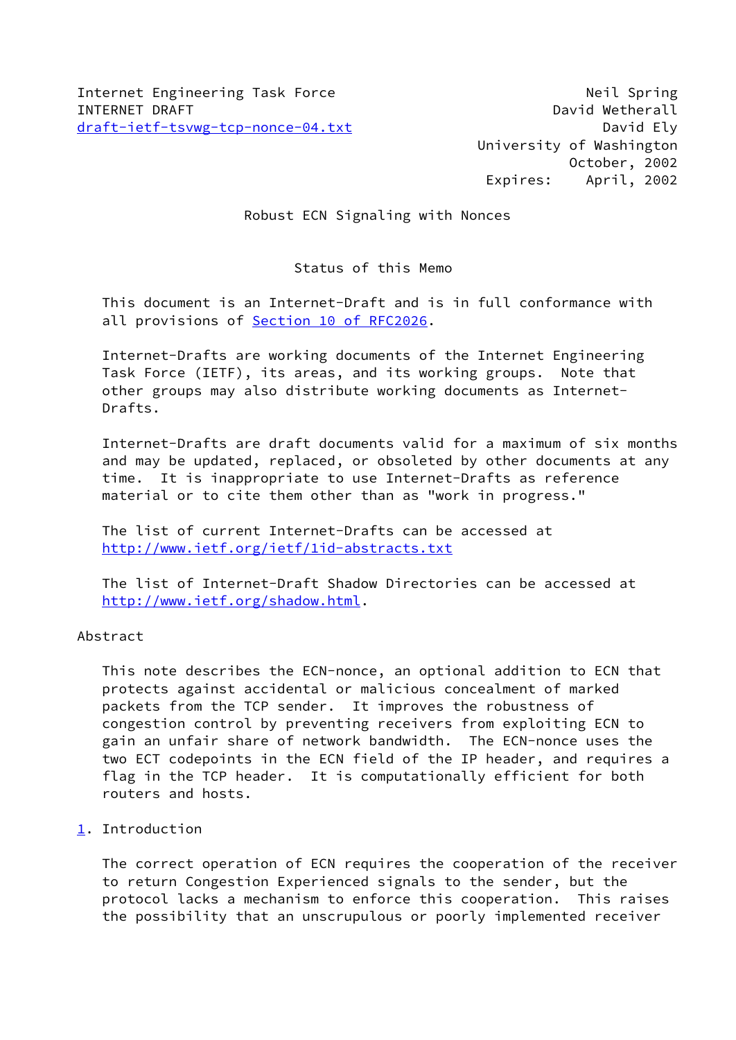University of Washington October, 2002 Expires: April, 2002

# Robust ECN Signaling with Nonces

# Status of this Memo

 This document is an Internet-Draft and is in full conformance with all provisions of Section [10 of RFC2026.](https://datatracker.ietf.org/doc/pdf/rfc2026#section-10)

 Internet-Drafts are working documents of the Internet Engineering Task Force (IETF), its areas, and its working groups. Note that other groups may also distribute working documents as Internet- Drafts.

 Internet-Drafts are draft documents valid for a maximum of six months and may be updated, replaced, or obsoleted by other documents at any time. It is inappropriate to use Internet-Drafts as reference material or to cite them other than as "work in progress."

 The list of current Internet-Drafts can be accessed at <http://www.ietf.org/ietf/1id-abstracts.txt>

 The list of Internet-Draft Shadow Directories can be accessed at <http://www.ietf.org/shadow.html>.

## Abstract

 This note describes the ECN-nonce, an optional addition to ECN that protects against accidental or malicious concealment of marked packets from the TCP sender. It improves the robustness of congestion control by preventing receivers from exploiting ECN to gain an unfair share of network bandwidth. The ECN-nonce uses the two ECT codepoints in the ECN field of the IP header, and requires a flag in the TCP header. It is computationally efficient for both routers and hosts.

## <span id="page-0-0"></span>[1](#page-0-0). Introduction

 The correct operation of ECN requires the cooperation of the receiver to return Congestion Experienced signals to the sender, but the protocol lacks a mechanism to enforce this cooperation. This raises the possibility that an unscrupulous or poorly implemented receiver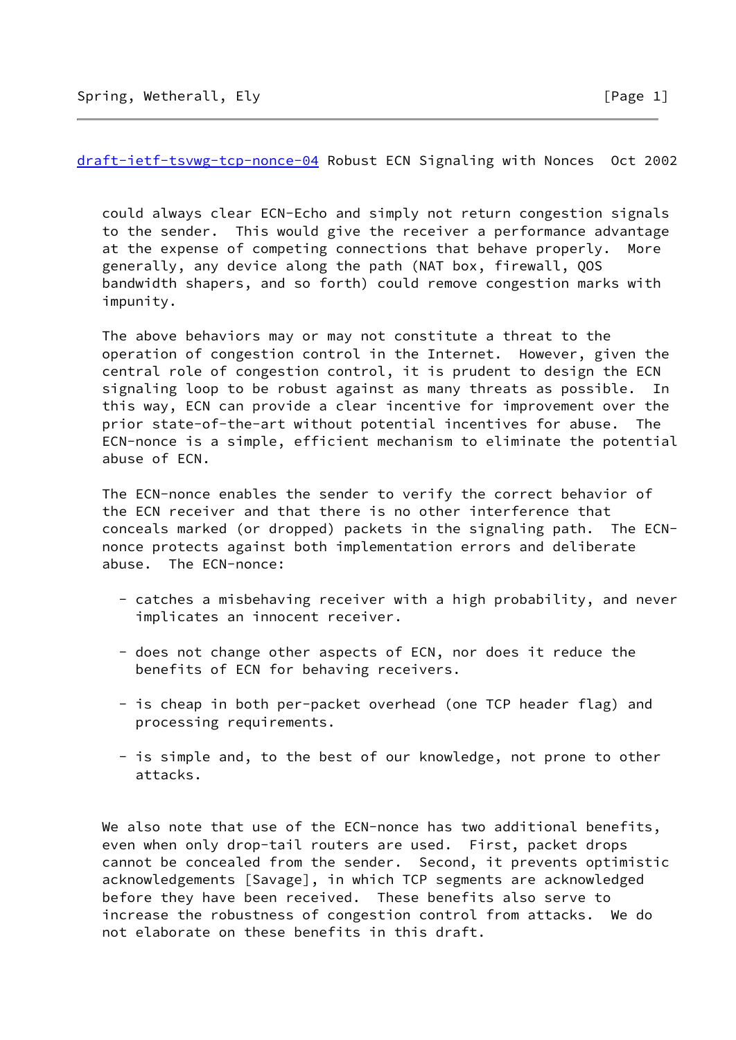[draft-ietf-tsvwg-tcp-nonce-04](https://datatracker.ietf.org/doc/pdf/draft-ietf-tsvwg-tcp-nonce-04) Robust ECN Signaling with Nonces Oct 2002

 could always clear ECN-Echo and simply not return congestion signals to the sender. This would give the receiver a performance advantage at the expense of competing connections that behave properly. More generally, any device along the path (NAT box, firewall, QOS bandwidth shapers, and so forth) could remove congestion marks with impunity.

 The above behaviors may or may not constitute a threat to the operation of congestion control in the Internet. However, given the central role of congestion control, it is prudent to design the ECN signaling loop to be robust against as many threats as possible. In this way, ECN can provide a clear incentive for improvement over the prior state-of-the-art without potential incentives for abuse. The ECN-nonce is a simple, efficient mechanism to eliminate the potential abuse of ECN.

 The ECN-nonce enables the sender to verify the correct behavior of the ECN receiver and that there is no other interference that conceals marked (or dropped) packets in the signaling path. The ECN nonce protects against both implementation errors and deliberate abuse. The ECN-nonce:

- catches a misbehaving receiver with a high probability, and never implicates an innocent receiver.
- does not change other aspects of ECN, nor does it reduce the benefits of ECN for behaving receivers.
- is cheap in both per-packet overhead (one TCP header flag) and processing requirements.
- is simple and, to the best of our knowledge, not prone to other attacks.

We also note that use of the ECN-nonce has two additional benefits, even when only drop-tail routers are used. First, packet drops cannot be concealed from the sender. Second, it prevents optimistic acknowledgements [Savage], in which TCP segments are acknowledged before they have been received. These benefits also serve to increase the robustness of congestion control from attacks. We do not elaborate on these benefits in this draft.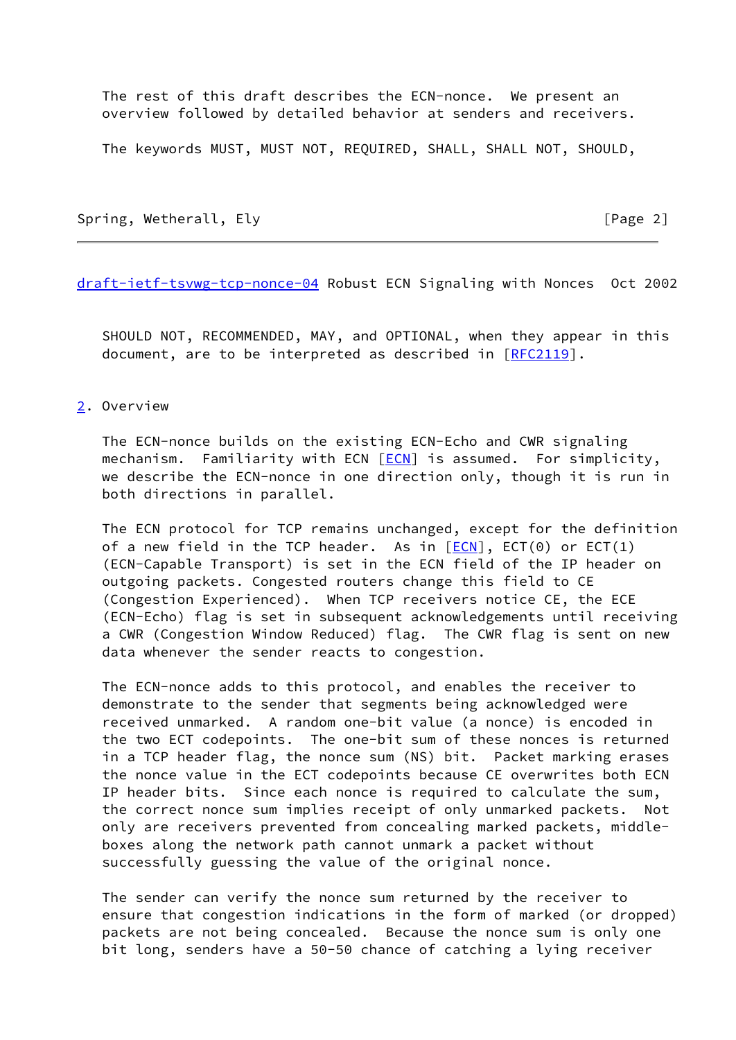The rest of this draft describes the ECN-nonce. We present an overview followed by detailed behavior at senders and receivers.

The keywords MUST, MUST NOT, REQUIRED, SHALL, SHALL NOT, SHOULD,

Spring, Wetherall, Ely **Example 2** and Spring, Metherall, Ely

[draft-ietf-tsvwg-tcp-nonce-04](https://datatracker.ietf.org/doc/pdf/draft-ietf-tsvwg-tcp-nonce-04) Robust ECN Signaling with Nonces Oct 2002

 SHOULD NOT, RECOMMENDED, MAY, and OPTIONAL, when they appear in this document, are to be interpreted as described in [\[RFC2119](https://datatracker.ietf.org/doc/pdf/rfc2119)].

#### <span id="page-2-0"></span>[2](#page-2-0). Overview

 The ECN-nonce builds on the existing ECN-Echo and CWR signaling mechanism. Familiarity with ECN  $[ECN]$  $[ECN]$  is assumed. For simplicity, we describe the ECN-nonce in one direction only, though it is run in both directions in parallel.

 The ECN protocol for TCP remains unchanged, except for the definition of a new field in the TCP header. As in  $[ECN]$  $[ECN]$ ,  $ECT(0)$  or  $ECT(1)$  (ECN-Capable Transport) is set in the ECN field of the IP header on outgoing packets. Congested routers change this field to CE (Congestion Experienced). When TCP receivers notice CE, the ECE (ECN-Echo) flag is set in subsequent acknowledgements until receiving a CWR (Congestion Window Reduced) flag. The CWR flag is sent on new data whenever the sender reacts to congestion.

 The ECN-nonce adds to this protocol, and enables the receiver to demonstrate to the sender that segments being acknowledged were received unmarked. A random one-bit value (a nonce) is encoded in the two ECT codepoints. The one-bit sum of these nonces is returned in a TCP header flag, the nonce sum (NS) bit. Packet marking erases the nonce value in the ECT codepoints because CE overwrites both ECN IP header bits. Since each nonce is required to calculate the sum, the correct nonce sum implies receipt of only unmarked packets. Not only are receivers prevented from concealing marked packets, middle boxes along the network path cannot unmark a packet without successfully guessing the value of the original nonce.

 The sender can verify the nonce sum returned by the receiver to ensure that congestion indications in the form of marked (or dropped) packets are not being concealed. Because the nonce sum is only one bit long, senders have a 50-50 chance of catching a lying receiver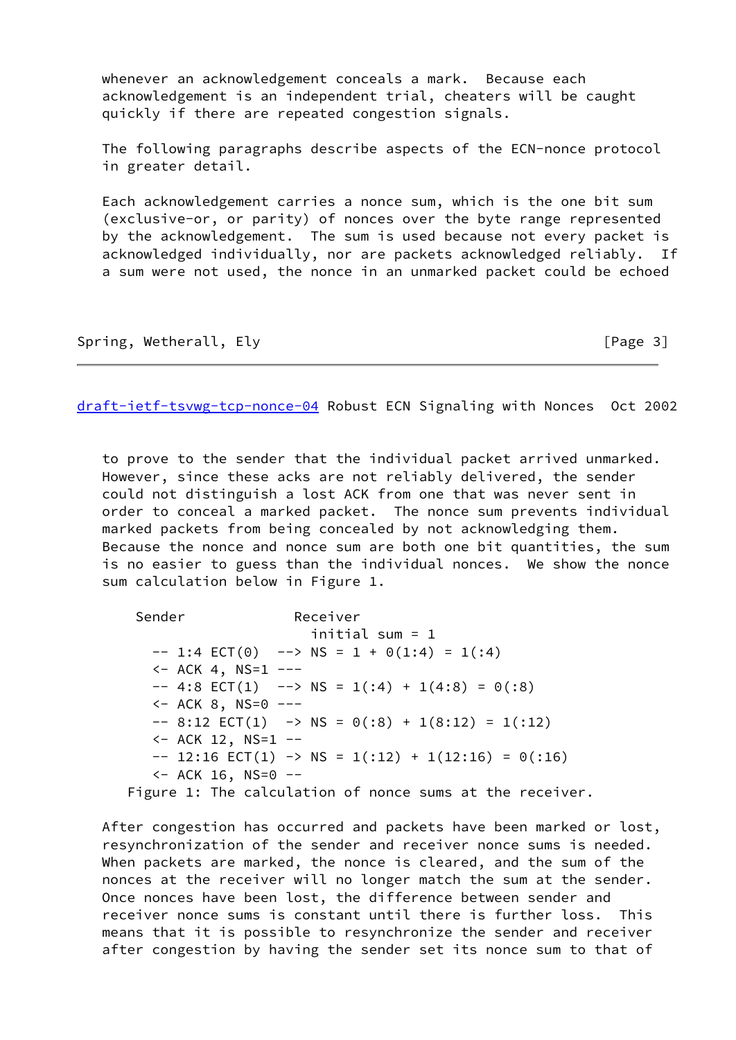whenever an acknowledgement conceals a mark. Because each acknowledgement is an independent trial, cheaters will be caught quickly if there are repeated congestion signals.

 The following paragraphs describe aspects of the ECN-nonce protocol in greater detail.

 Each acknowledgement carries a nonce sum, which is the one bit sum (exclusive-or, or parity) of nonces over the byte range represented by the acknowledgement. The sum is used because not every packet is acknowledged individually, nor are packets acknowledged reliably. If a sum were not used, the nonce in an unmarked packet could be echoed

Spring, Wetherall, Ely **Example 2018** [Page 3]

[draft-ietf-tsvwg-tcp-nonce-04](https://datatracker.ietf.org/doc/pdf/draft-ietf-tsvwg-tcp-nonce-04) Robust ECN Signaling with Nonces Oct 2002

 to prove to the sender that the individual packet arrived unmarked. However, since these acks are not reliably delivered, the sender could not distinguish a lost ACK from one that was never sent in order to conceal a marked packet. The nonce sum prevents individual marked packets from being concealed by not acknowledging them. Because the nonce and nonce sum are both one bit quantities, the sum is no easier to guess than the individual nonces. We show the nonce sum calculation below in Figure 1.

Sender Receiver initial sum = 1  $-- 1:4$  ECT(0)  $-- > NS = 1 + O(1:4) = 1(1:4)$  $<-$  ACK 4, NS=1  $-- -- 4:8$  ECT(1)  $-- > NS = 1(:4) + 1(4:8) = 0(:8)$  $<-$  ACK 8, NS=0  $-- -$  8:12 ECT(1)  $\rightarrow$  NS = 0(:8) + 1(8:12) = 1(:12)  $<-$  ACK 12, NS=1  $- -- 12:16$  ECT(1)  $\rightarrow$  NS = 1(:12) + 1(12:16) = 0(:16) <- ACK 16, NS=0 -- Figure 1: The calculation of nonce sums at the receiver.

 After congestion has occurred and packets have been marked or lost, resynchronization of the sender and receiver nonce sums is needed. When packets are marked, the nonce is cleared, and the sum of the nonces at the receiver will no longer match the sum at the sender. Once nonces have been lost, the difference between sender and receiver nonce sums is constant until there is further loss. This means that it is possible to resynchronize the sender and receiver after congestion by having the sender set its nonce sum to that of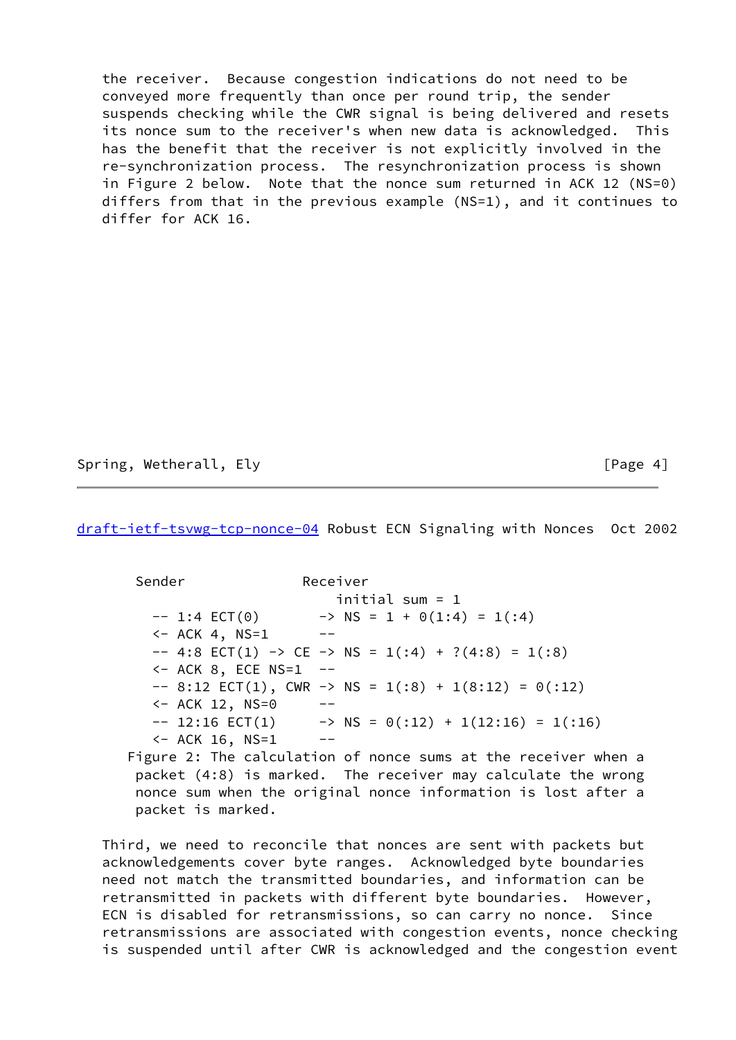the receiver. Because congestion indications do not need to be conveyed more frequently than once per round trip, the sender suspends checking while the CWR signal is being delivered and resets its nonce sum to the receiver's when new data is acknowledged. This has the benefit that the receiver is not explicitly involved in the re-synchronization process. The resynchronization process is shown in Figure 2 below. Note that the nonce sum returned in ACK 12 (NS=0) differs from that in the previous example (NS=1), and it continues to differ for ACK 16.

Spring, Wetherall, Ely **Example 20** and the set of Page 4]

[draft-ietf-tsvwg-tcp-nonce-04](https://datatracker.ietf.org/doc/pdf/draft-ietf-tsvwg-tcp-nonce-04) Robust ECN Signaling with Nonces Oct 2002

 Sender Receiver initial sum = 1  $-- 1:4$  ECT(0)  $\longrightarrow NS = 1 + O(1:4) = 1(:4)$  $<-$  ACK 4, NS=1  $- -$  4:8 ECT(1)  $\rightarrow$  CE  $\rightarrow$  NS = 1(:4) + ?(4:8) = 1(:8) <- ACK 8, ECE NS=1 --  $-$  8:12 ECT(1), CWR  $\rightarrow$  NS = 1(:8) + 1(8:12) = 0(:12) <- ACK 12, NS=0 --  $-- 12:16 \text{ ECT}(1) \longrightarrow NS = 0(:12) + 1(12:16) = 1(:16)$  $<-$  ACK 16, NS=1  $--$ 

 Figure 2: The calculation of nonce sums at the receiver when a packet (4:8) is marked. The receiver may calculate the wrong nonce sum when the original nonce information is lost after a packet is marked.

 Third, we need to reconcile that nonces are sent with packets but acknowledgements cover byte ranges. Acknowledged byte boundaries need not match the transmitted boundaries, and information can be retransmitted in packets with different byte boundaries. However, ECN is disabled for retransmissions, so can carry no nonce. Since retransmissions are associated with congestion events, nonce checking is suspended until after CWR is acknowledged and the congestion event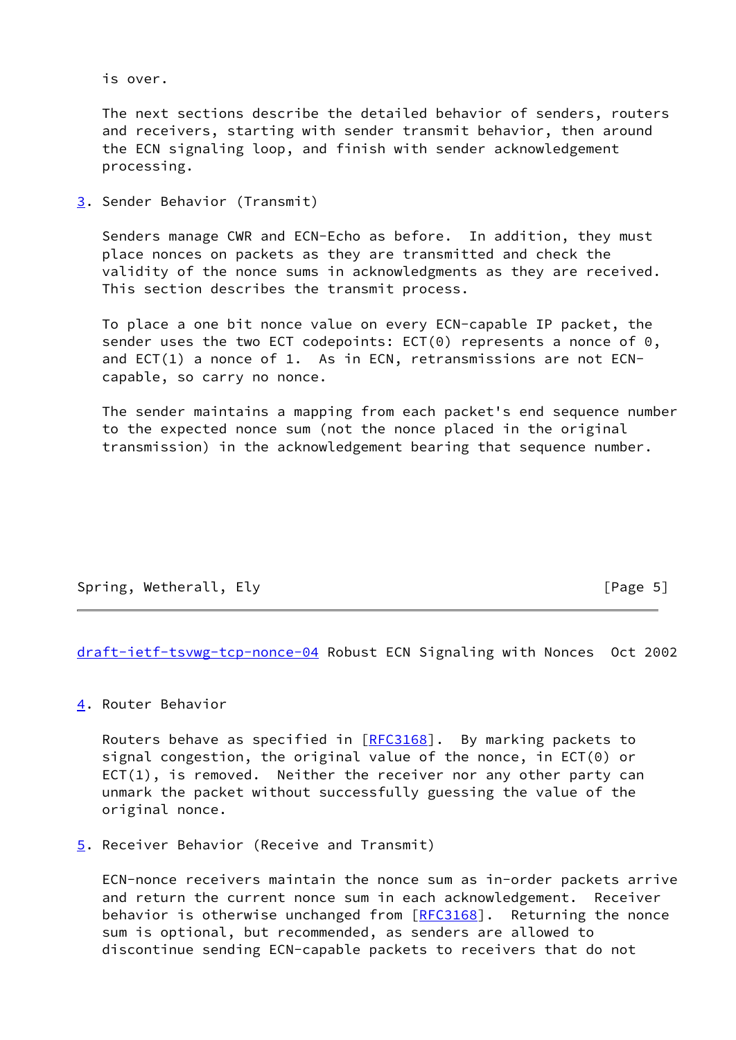is over.

 The next sections describe the detailed behavior of senders, routers and receivers, starting with sender transmit behavior, then around the ECN signaling loop, and finish with sender acknowledgement processing.

<span id="page-5-0"></span>[3](#page-5-0). Sender Behavior (Transmit)

 Senders manage CWR and ECN-Echo as before. In addition, they must place nonces on packets as they are transmitted and check the validity of the nonce sums in acknowledgments as they are received. This section describes the transmit process.

 To place a one bit nonce value on every ECN-capable IP packet, the sender uses the two ECT codepoints:  $ECT(0)$  represents a nonce of  $0,$  and ECT(1) a nonce of 1. As in ECN, retransmissions are not ECN capable, so carry no nonce.

 The sender maintains a mapping from each packet's end sequence number to the expected nonce sum (not the nonce placed in the original transmission) in the acknowledgement bearing that sequence number.

Spring, Wetherall, Ely **Example 2018** [Page 5]

[draft-ietf-tsvwg-tcp-nonce-04](https://datatracker.ietf.org/doc/pdf/draft-ietf-tsvwg-tcp-nonce-04) Robust ECN Signaling with Nonces Oct 2002

<span id="page-5-1"></span>[4](#page-5-1). Router Behavior

Routers behave as specified in [\[RFC3168](https://datatracker.ietf.org/doc/pdf/rfc3168)]. By marking packets to signal congestion, the original value of the nonce, in ECT(0) or  $ECT(1)$ , is removed. Neither the receiver nor any other party can unmark the packet without successfully guessing the value of the original nonce.

<span id="page-5-2"></span>[5](#page-5-2). Receiver Behavior (Receive and Transmit)

 ECN-nonce receivers maintain the nonce sum as in-order packets arrive and return the current nonce sum in each acknowledgement. Receiver behavior is otherwise unchanged from [\[RFC3168](https://datatracker.ietf.org/doc/pdf/rfc3168)]. Returning the nonce sum is optional, but recommended, as senders are allowed to discontinue sending ECN-capable packets to receivers that do not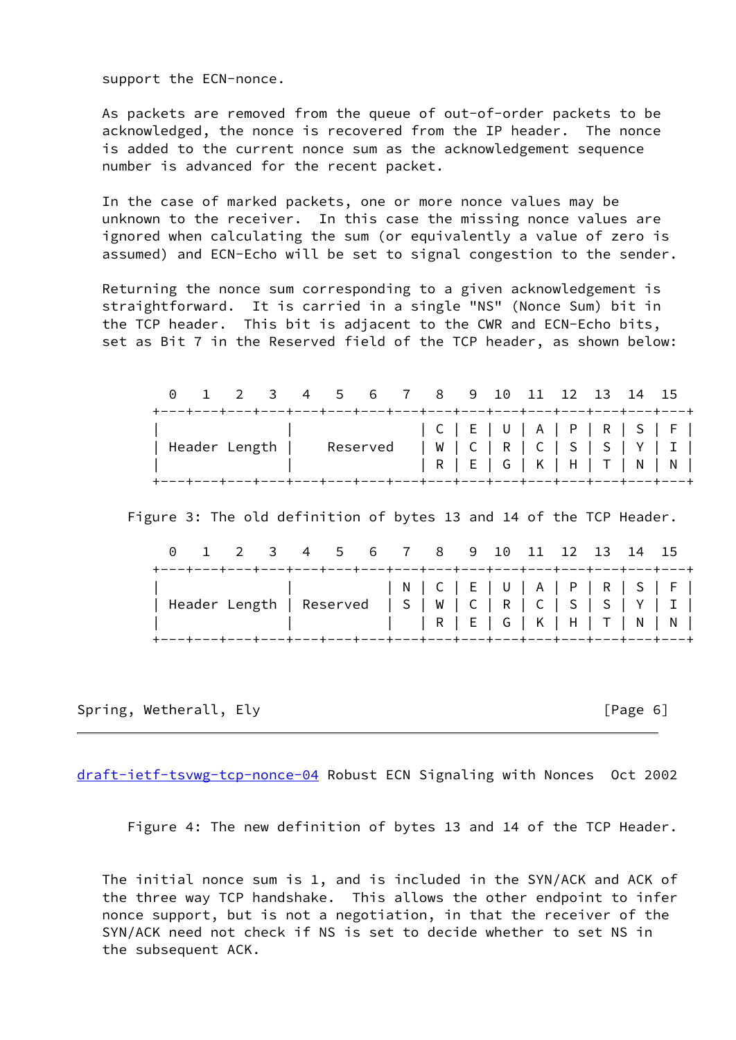support the ECN-nonce.

 As packets are removed from the queue of out-of-order packets to be acknowledged, the nonce is recovered from the IP header. The nonce is added to the current nonce sum as the acknowledgement sequence number is advanced for the recent packet.

 In the case of marked packets, one or more nonce values may be unknown to the receiver. In this case the missing nonce values are ignored when calculating the sum (or equivalently a value of zero is assumed) and ECN-Echo will be set to signal congestion to the sender.

 Returning the nonce sum corresponding to a given acknowledgement is straightforward. It is carried in a single "NS" (Nonce Sum) bit in the TCP header. This bit is adjacent to the CWR and ECN-Echo bits, set as Bit 7 in the Reserved field of the TCP header, as shown below:

|                                                                                                                                                                                                                                                       |  | 0 1 2 3 4 5 6 7 8 9 10 11 12 13 14 15 |  |  |  |                 |  |  |  |
|-------------------------------------------------------------------------------------------------------------------------------------------------------------------------------------------------------------------------------------------------------|--|---------------------------------------|--|--|--|-----------------|--|--|--|
| +---+---+---+---+---+---+---+---+---+---+---+---+---+---+---+---+---<br>  Header Length   Reserved   W   C   R   C   S   S   Y   I  <br><b>The Community of the Community</b><br>+---+---+---+---+---+---+---+---+---+---+---+---+---+---+---+---+--- |  |                                       |  |  |  | R E G K H T N N |  |  |  |

Figure 3: The old definition of bytes 13 and 14 of the TCP Header.

| +---+---+---+---+---+---+---+---+---+---+---+---+---+---+---+---+---+<br>  Header Length   Reserved   S   W   C   R   C   S   S   Y   I  <br>+---+---+---+---+---+---+---+---+---+---+---+---+---+---+---+---+--- | 0 1 2 3 4 5 6 7 8 9 10 11 12 13 14 15 |  |  |  |  |  |  |  |
|-------------------------------------------------------------------------------------------------------------------------------------------------------------------------------------------------------------------|---------------------------------------|--|--|--|--|--|--|--|
|                                                                                                                                                                                                                   |                                       |  |  |  |  |  |  |  |

Spring, Wetherall, Ely **Example 2018** [Page 6]

[draft-ietf-tsvwg-tcp-nonce-04](https://datatracker.ietf.org/doc/pdf/draft-ietf-tsvwg-tcp-nonce-04) Robust ECN Signaling with Nonces Oct 2002

Figure 4: The new definition of bytes 13 and 14 of the TCP Header.

 The initial nonce sum is 1, and is included in the SYN/ACK and ACK of the three way TCP handshake. This allows the other endpoint to infer nonce support, but is not a negotiation, in that the receiver of the SYN/ACK need not check if NS is set to decide whether to set NS in the subsequent ACK.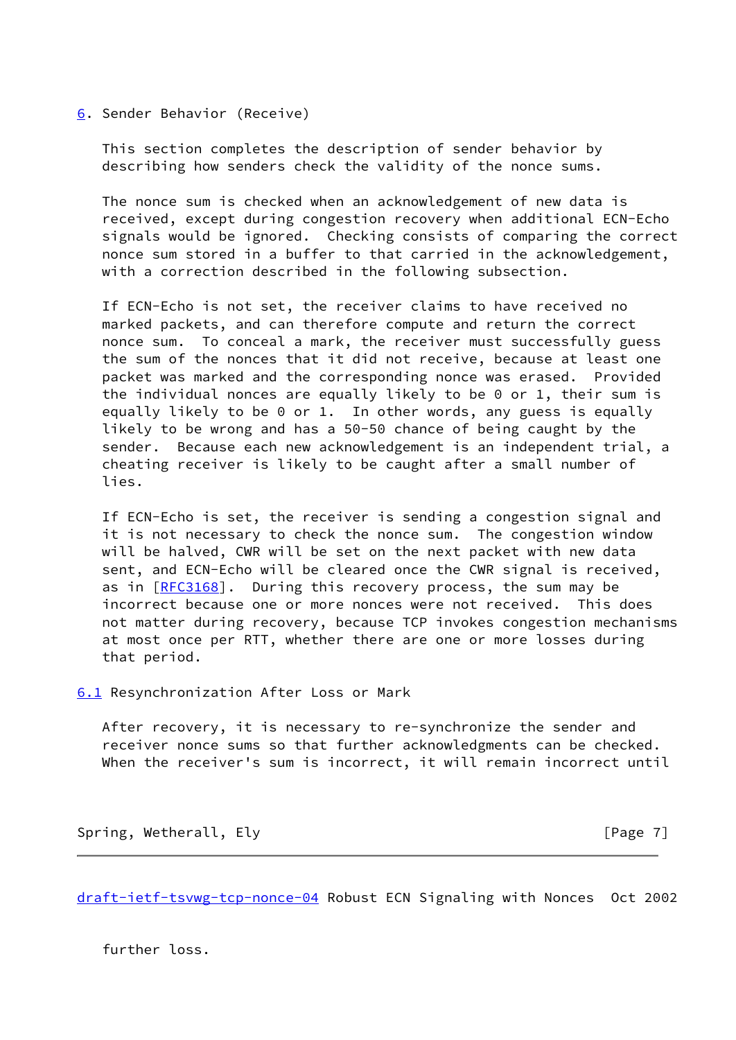<span id="page-7-0"></span>[6](#page-7-0). Sender Behavior (Receive)

 This section completes the description of sender behavior by describing how senders check the validity of the nonce sums.

 The nonce sum is checked when an acknowledgement of new data is received, except during congestion recovery when additional ECN-Echo signals would be ignored. Checking consists of comparing the correct nonce sum stored in a buffer to that carried in the acknowledgement, with a correction described in the following subsection.

 If ECN-Echo is not set, the receiver claims to have received no marked packets, and can therefore compute and return the correct nonce sum. To conceal a mark, the receiver must successfully guess the sum of the nonces that it did not receive, because at least one packet was marked and the corresponding nonce was erased. Provided the individual nonces are equally likely to be 0 or 1, their sum is equally likely to be 0 or 1. In other words, any guess is equally likely to be wrong and has a 50-50 chance of being caught by the sender. Because each new acknowledgement is an independent trial, a cheating receiver is likely to be caught after a small number of lies.

 If ECN-Echo is set, the receiver is sending a congestion signal and it is not necessary to check the nonce sum. The congestion window will be halved, CWR will be set on the next packet with new data sent, and ECN-Echo will be cleared once the CWR signal is received, as in [[RFC3168](https://datatracker.ietf.org/doc/pdf/rfc3168)]. During this recovery process, the sum may be incorrect because one or more nonces were not received. This does not matter during recovery, because TCP invokes congestion mechanisms at most once per RTT, whether there are one or more losses during that period.

<span id="page-7-1"></span>[6.1](#page-7-1) Resynchronization After Loss or Mark

 After recovery, it is necessary to re-synchronize the sender and receiver nonce sums so that further acknowledgments can be checked. When the receiver's sum is incorrect, it will remain incorrect until

Spring, Wetherall, Ely **Example 2018** [Page 7]

[draft-ietf-tsvwg-tcp-nonce-04](https://datatracker.ietf.org/doc/pdf/draft-ietf-tsvwg-tcp-nonce-04) Robust ECN Signaling with Nonces Oct 2002

further loss.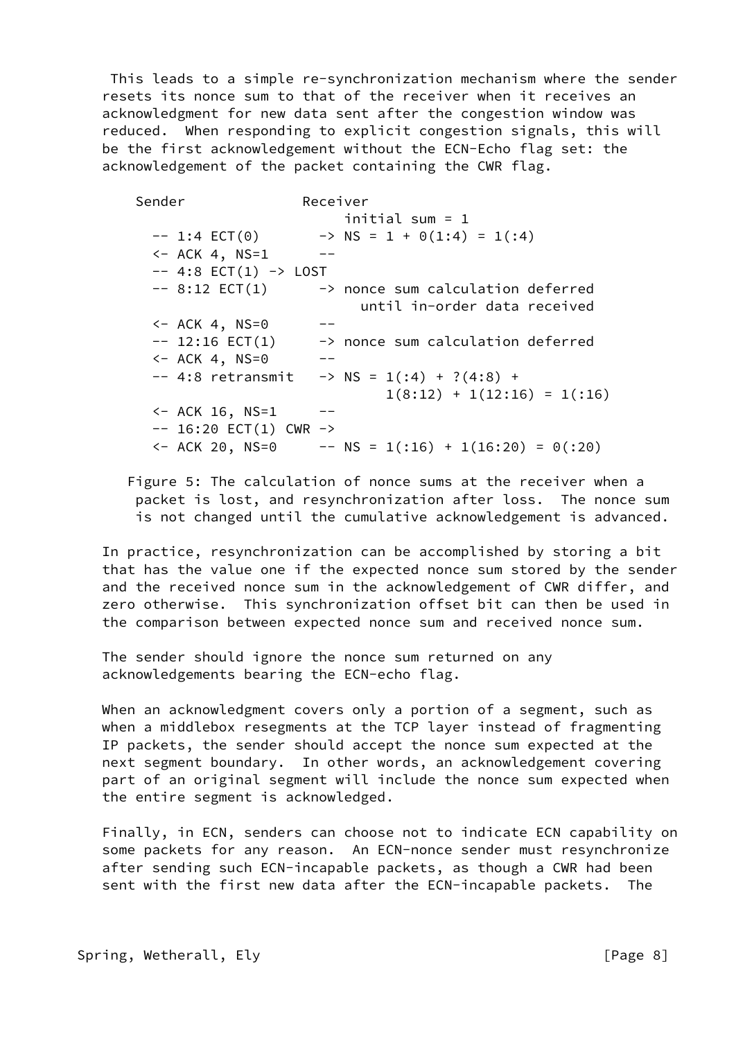This leads to a simple re-synchronization mechanism where the sender resets its nonce sum to that of the receiver when it receives an acknowledgment for new data sent after the congestion window was reduced. When responding to explicit congestion signals, this will be the first acknowledgement without the ECN-Echo flag set: the acknowledgement of the packet containing the CWR flag.

 Sender Receiver initial sum = 1  $-- 1:4$  ECT(0)  $\longrightarrow$  NS = 1 + 0(1:4) = 1(:4)  $<-$  ACK 4, NS=1  $- - - 4:8$   $ECT(1)$   $\rightarrow$  LOST  $--$  8:12 ECT(1)  $\longrightarrow$  nonce sum calculation deferred until in-order data received  $<-$  ACK 4, NS=0  $- -- 12:16$  ECT(1)  $\longrightarrow$  nonce sum calculation deferred  $<-$  ACK 4, NS=0  $- -- 4:8$  retransmit  $-> NS = 1(.4) + ?(4:8) +$  $1(8:12) + 1(12:16) = 1(16)$  $<-$  ACK 16, NS=1  $- -- 16:20$  ECT(1) CWR  $->$  $\left(-\text{ACK } 20, \text{NS}=0 \right)$  --  $\text{NS } = 1(16) + 1(16:20) = 0(120)$ 

 Figure 5: The calculation of nonce sums at the receiver when a packet is lost, and resynchronization after loss. The nonce sum is not changed until the cumulative acknowledgement is advanced.

 In practice, resynchronization can be accomplished by storing a bit that has the value one if the expected nonce sum stored by the sender and the received nonce sum in the acknowledgement of CWR differ, and zero otherwise. This synchronization offset bit can then be used in the comparison between expected nonce sum and received nonce sum.

 The sender should ignore the nonce sum returned on any acknowledgements bearing the ECN-echo flag.

 When an acknowledgment covers only a portion of a segment, such as when a middlebox resegments at the TCP layer instead of fragmenting IP packets, the sender should accept the nonce sum expected at the next segment boundary. In other words, an acknowledgement covering part of an original segment will include the nonce sum expected when the entire segment is acknowledged.

 Finally, in ECN, senders can choose not to indicate ECN capability on some packets for any reason. An ECN-nonce sender must resynchronize after sending such ECN-incapable packets, as though a CWR had been sent with the first new data after the ECN-incapable packets. The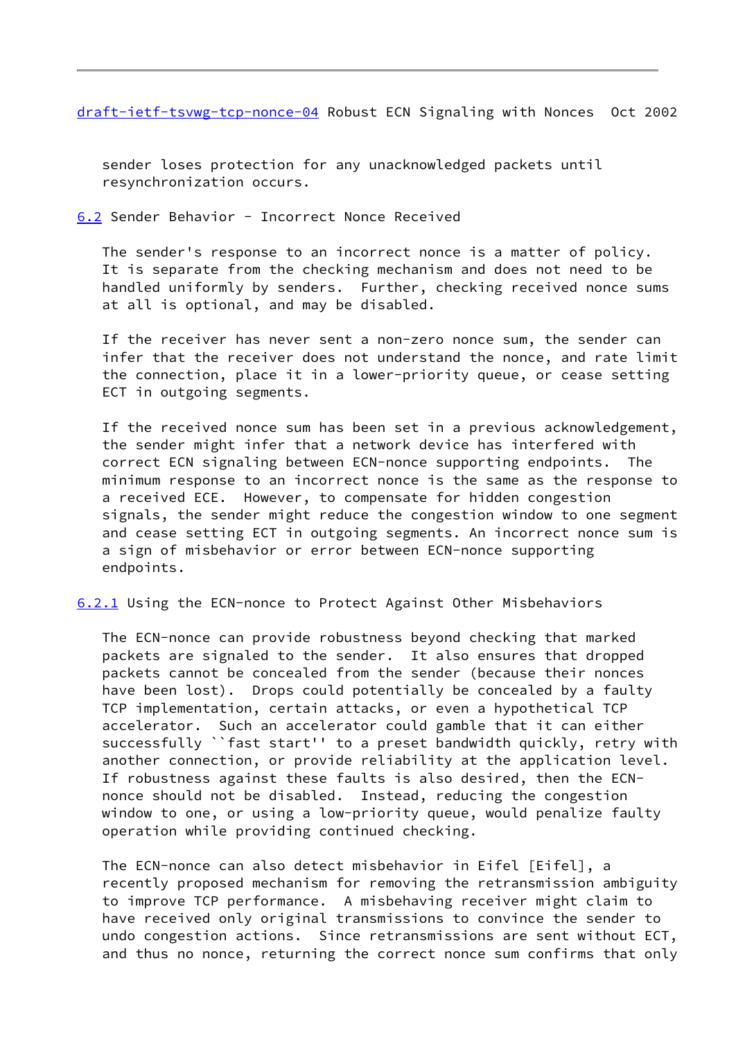[draft-ietf-tsvwg-tcp-nonce-04](https://datatracker.ietf.org/doc/pdf/draft-ietf-tsvwg-tcp-nonce-04) Robust ECN Signaling with Nonces Oct 2002

 sender loses protection for any unacknowledged packets until resynchronization occurs.

<span id="page-9-0"></span>[6.2](#page-9-0) Sender Behavior - Incorrect Nonce Received

 The sender's response to an incorrect nonce is a matter of policy. It is separate from the checking mechanism and does not need to be handled uniformly by senders. Further, checking received nonce sums at all is optional, and may be disabled.

 If the receiver has never sent a non-zero nonce sum, the sender can infer that the receiver does not understand the nonce, and rate limit the connection, place it in a lower-priority queue, or cease setting ECT in outgoing segments.

 If the received nonce sum has been set in a previous acknowledgement, the sender might infer that a network device has interfered with correct ECN signaling between ECN-nonce supporting endpoints. The minimum response to an incorrect nonce is the same as the response to a received ECE. However, to compensate for hidden congestion signals, the sender might reduce the congestion window to one segment and cease setting ECT in outgoing segments. An incorrect nonce sum is a sign of misbehavior or error between ECN-nonce supporting endpoints.

<span id="page-9-1"></span>[6.2.1](#page-9-1) Using the ECN-nonce to Protect Against Other Misbehaviors

 The ECN-nonce can provide robustness beyond checking that marked packets are signaled to the sender. It also ensures that dropped packets cannot be concealed from the sender (because their nonces have been lost). Drops could potentially be concealed by a faulty TCP implementation, certain attacks, or even a hypothetical TCP accelerator. Such an accelerator could gamble that it can either successfully ``fast start'' to a preset bandwidth quickly, retry with another connection, or provide reliability at the application level. If robustness against these faults is also desired, then the ECN nonce should not be disabled. Instead, reducing the congestion window to one, or using a low-priority queue, would penalize faulty operation while providing continued checking.

 The ECN-nonce can also detect misbehavior in Eifel [Eifel], a recently proposed mechanism for removing the retransmission ambiguity to improve TCP performance. A misbehaving receiver might claim to have received only original transmissions to convince the sender to undo congestion actions. Since retransmissions are sent without ECT, and thus no nonce, returning the correct nonce sum confirms that only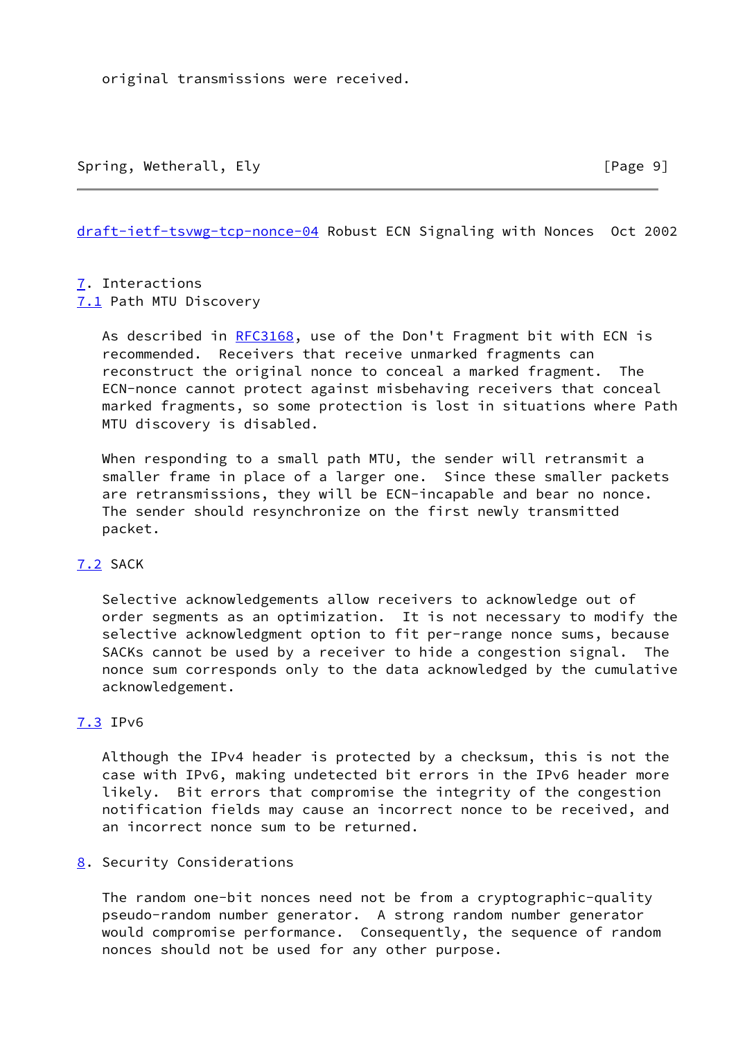original transmissions were received.

[draft-ietf-tsvwg-tcp-nonce-04](https://datatracker.ietf.org/doc/pdf/draft-ietf-tsvwg-tcp-nonce-04) Robust ECN Signaling with Nonces Oct 2002

<span id="page-10-1"></span><span id="page-10-0"></span>[7](#page-10-0). Interactions [7.1](#page-10-1) Path MTU Discovery

> As described in [RFC3168](https://datatracker.ietf.org/doc/pdf/rfc3168), use of the Don't Fragment bit with ECN is recommended. Receivers that receive unmarked fragments can reconstruct the original nonce to conceal a marked fragment. The ECN-nonce cannot protect against misbehaving receivers that conceal marked fragments, so some protection is lost in situations where Path MTU discovery is disabled.

 When responding to a small path MTU, the sender will retransmit a smaller frame in place of a larger one. Since these smaller packets are retransmissions, they will be ECN-incapable and bear no nonce. The sender should resynchronize on the first newly transmitted packet.

## <span id="page-10-2"></span>[7.2](#page-10-2) SACK

 Selective acknowledgements allow receivers to acknowledge out of order segments as an optimization. It is not necessary to modify the selective acknowledgment option to fit per-range nonce sums, because SACKs cannot be used by a receiver to hide a congestion signal. The nonce sum corresponds only to the data acknowledged by the cumulative acknowledgement.

## <span id="page-10-3"></span>[7.3](#page-10-3) IPv6

 Although the IPv4 header is protected by a checksum, this is not the case with IPv6, making undetected bit errors in the IPv6 header more likely. Bit errors that compromise the integrity of the congestion notification fields may cause an incorrect nonce to be received, and an incorrect nonce sum to be returned.

## <span id="page-10-4"></span>[8](#page-10-4). Security Considerations

 The random one-bit nonces need not be from a cryptographic-quality pseudo-random number generator. A strong random number generator would compromise performance. Consequently, the sequence of random nonces should not be used for any other purpose.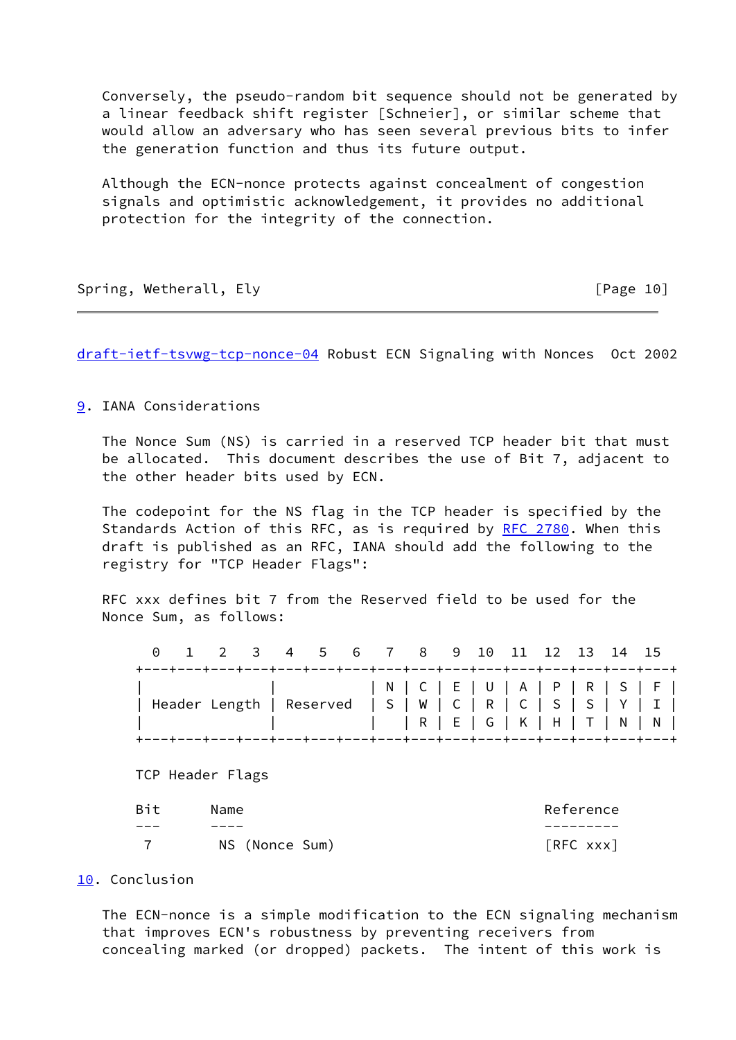Conversely, the pseudo-random bit sequence should not be generated by a linear feedback shift register [Schneier], or similar scheme that would allow an adversary who has seen several previous bits to infer the generation function and thus its future output.

 Although the ECN-nonce protects against concealment of congestion signals and optimistic acknowledgement, it provides no additional protection for the integrity of the connection.

Spring, Wetherall, Ely **Example 2018** [Page 10]

[draft-ietf-tsvwg-tcp-nonce-04](https://datatracker.ietf.org/doc/pdf/draft-ietf-tsvwg-tcp-nonce-04) Robust ECN Signaling with Nonces Oct 2002

<span id="page-11-0"></span>[9](#page-11-0). IANA Considerations

 The Nonce Sum (NS) is carried in a reserved TCP header bit that must be allocated. This document describes the use of Bit 7, adjacent to the other header bits used by ECN.

 The codepoint for the NS flag in the TCP header is specified by the Standards Action of this RFC, as is required by [RFC 2780](https://datatracker.ietf.org/doc/pdf/rfc2780). When this draft is published as an RFC, IANA should add the following to the registry for "TCP Header Flags":

 RFC xxx defines bit 7 from the Reserved field to be used for the Nonce Sum, as follows:

|  |  |  |  | 0 1 2 3 4 5 6 7 8 9 10 11 12 13 14 15                                                                                                                                                                              |  |  |  |  |
|--|--|--|--|--------------------------------------------------------------------------------------------------------------------------------------------------------------------------------------------------------------------|--|--|--|--|
|  |  |  |  | +---+---+---+---+---+---+---+---+---+---+---+---+---+---+---+---+---+<br>  Header Length   Reserved   S   W   C   R   C   S   S   Y   I  <br>+---+---+---+---+---+---+---+---+---+---+---+---+---+---+---+---+---+ |  |  |  |  |

TCP Header Flags

| Bit | Name           | Reference |
|-----|----------------|-----------|
| --- | ----           |           |
|     | NS (Nonce Sum) | [RFC xxx] |

#### <span id="page-11-1"></span>[10.](#page-11-1) Conclusion

 The ECN-nonce is a simple modification to the ECN signaling mechanism that improves ECN's robustness by preventing receivers from concealing marked (or dropped) packets. The intent of this work is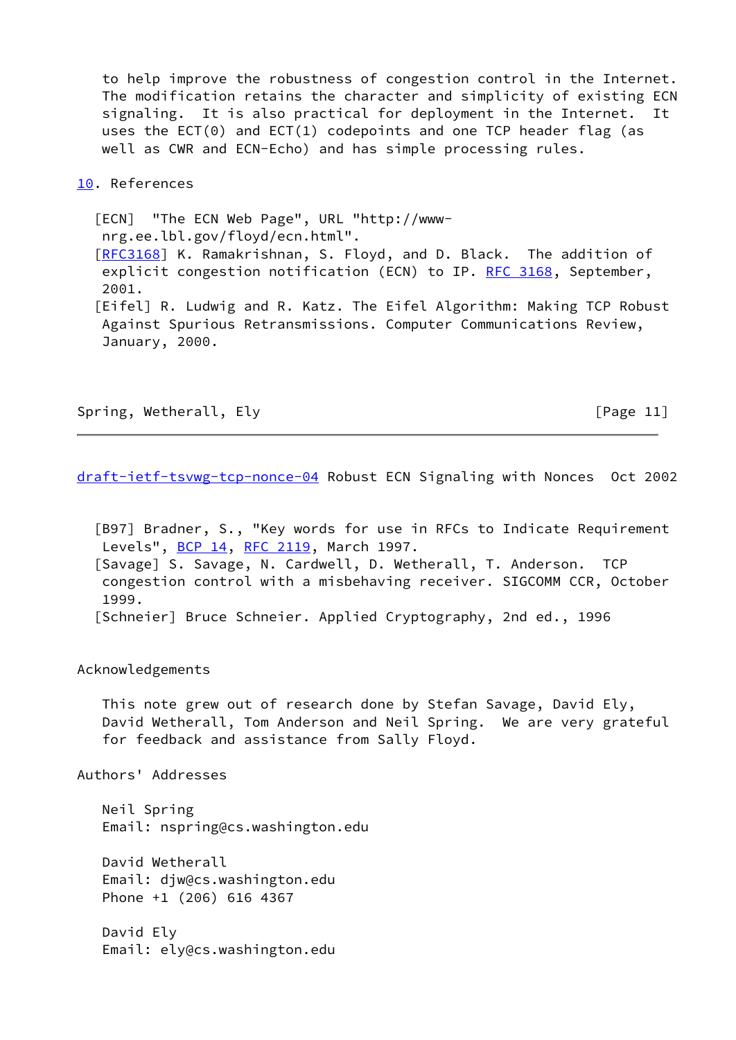to help improve the robustness of congestion control in the Internet. The modification retains the character and simplicity of existing ECN signaling. It is also practical for deployment in the Internet. It uses the  $ECT(0)$  and  $ECT(1)$  codepoints and one TCP header flag (as well as CWR and ECN-Echo) and has simple processing rules.

#### [10.](#page-11-1) References

<span id="page-12-0"></span> [ECN] "The ECN Web Page", URL "http://www nrg.ee.lbl.gov/floyd/ecn.html". [\[RFC3168](https://datatracker.ietf.org/doc/pdf/rfc3168)] K. Ramakrishnan, S. Floyd, and D. Black. The addition of explicit congestion notification (ECN) to IP. [RFC 3168](https://datatracker.ietf.org/doc/pdf/rfc3168), September, 2001. [Eifel] R. Ludwig and R. Katz. The Eifel Algorithm: Making TCP Robust Against Spurious Retransmissions. Computer Communications Review, January, 2000.

Spring, Wetherall, Ely **Example 20** Spring, Wetherall, Ely

[draft-ietf-tsvwg-tcp-nonce-04](https://datatracker.ietf.org/doc/pdf/draft-ietf-tsvwg-tcp-nonce-04) Robust ECN Signaling with Nonces Oct 2002

 [B97] Bradner, S., "Key words for use in RFCs to Indicate Requirement Levels", [BCP 14](https://datatracker.ietf.org/doc/pdf/bcp14), [RFC 2119](https://datatracker.ietf.org/doc/pdf/rfc2119), March 1997. [Savage] S. Savage, N. Cardwell, D. Wetherall, T. Anderson. TCP congestion control with a misbehaving receiver. SIGCOMM CCR, October 1999. [Schneier] Bruce Schneier. Applied Cryptography, 2nd ed., 1996

Acknowledgements

 This note grew out of research done by Stefan Savage, David Ely, David Wetherall, Tom Anderson and Neil Spring. We are very grateful for feedback and assistance from Sally Floyd.

Authors' Addresses

 Neil Spring Email: nspring@cs.washington.edu

 David Wetherall Email: djw@cs.washington.edu Phone +1 (206) 616 4367

 David Ely Email: ely@cs.washington.edu